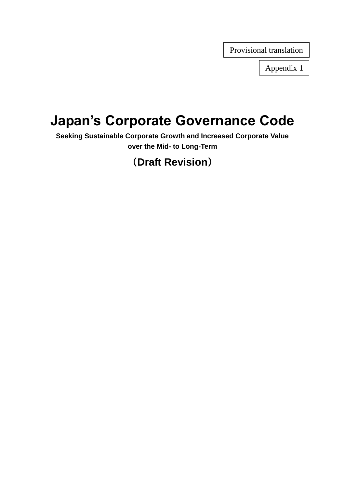Provisional translation

Appendix 1

# **Japan's Corporate Governance Code**

**Seeking Sustainable Corporate Growth and Increased Corporate Value over the Mid- to Long-Term**

## (**Draft Revision**)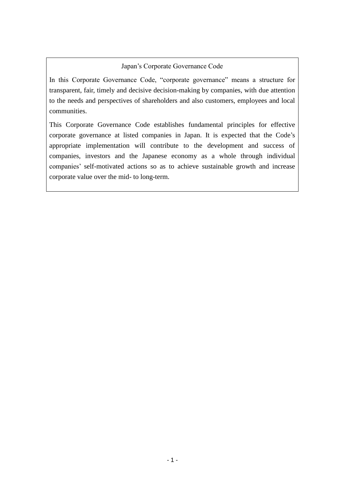#### Japan's Corporate Governance Code

In this Corporate Governance Code, "corporate governance" means a structure for transparent, fair, timely and decisive decision-making by companies, with due attention to the needs and perspectives of shareholders and also customers, employees and local communities.

This Corporate Governance Code establishes fundamental principles for effective corporate governance at listed companies in Japan. It is expected that the Code's appropriate implementation will contribute to the development and success of companies, investors and the Japanese economy as a whole through individual companies' self-motivated actions so as to achieve sustainable growth and increase corporate value over the mid- to long-term.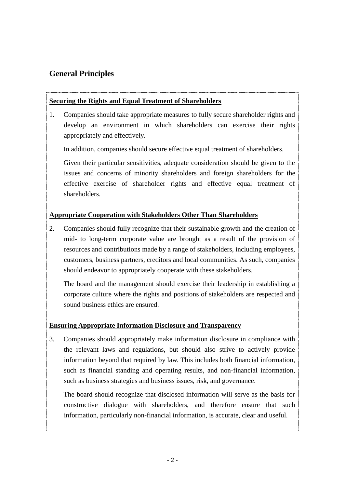## **General Principles**

#### **Securing the Rights and Equal Treatment of Shareholders**

1. Companies should take appropriate measures to fully secure shareholder rights and develop an environment in which shareholders can exercise their rights appropriately and effectively.

In addition, companies should secure effective equal treatment of shareholders.

Given their particular sensitivities, adequate consideration should be given to the issues and concerns of minority shareholders and foreign shareholders for the effective exercise of shareholder rights and effective equal treatment of shareholders.

#### **Appropriate Cooperation with Stakeholders Other Than Shareholders**

2. Companies should fully recognize that their sustainable growth and the creation of mid- to long-term corporate value are brought as a result of the provision of resources and contributions made by a range of stakeholders, including employees, customers, business partners, creditors and local communities. As such, companies should endeavor to appropriately cooperate with these stakeholders.

The board and the management should exercise their leadership in establishing a corporate culture where the rights and positions of stakeholders are respected and sound business ethics are ensured.

#### **Ensuring Appropriate Information Disclosure and Transparency**

3. Companies should appropriately make information disclosure in compliance with the relevant laws and regulations, but should also strive to actively provide information beyond that required by law. This includes both financial information, such as financial standing and operating results, and non-financial information, such as business strategies and business issues, risk, and governance.

The board should recognize that disclosed information will serve as the basis for constructive dialogue with shareholders, and therefore ensure that such information, particularly non-financial information, is accurate, clear and useful.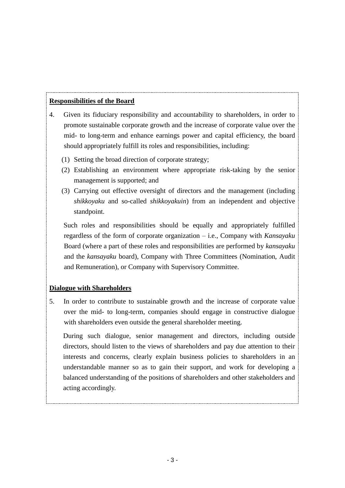#### **Responsibilities of the Board**

- 4. Given its fiduciary responsibility and accountability to shareholders, in order to promote sustainable corporate growth and the increase of corporate value over the mid- to long-term and enhance earnings power and capital efficiency, the board should appropriately fulfill its roles and responsibilities, including:
	- (1) Setting the broad direction of corporate strategy;
	- (2) Establishing an environment where appropriate risk-taking by the senior management is supported; and
	- (3) Carrying out effective oversight of directors and the management (including *shikkoyaku* and so-called *shikkoyakuin*) from an independent and objective standpoint.

Such roles and responsibilities should be equally and appropriately fulfilled regardless of the form of corporate organization – i.e., Company with *Kansayaku* Board (where a part of these roles and responsibilities are performed by *kansayaku* and the *kansayaku* board), Company with Three Committees (Nomination, Audit and Remuneration), or Company with Supervisory Committee.

#### **Dialogue with Shareholders**

5. In order to contribute to sustainable growth and the increase of corporate value over the mid- to long-term, companies should engage in constructive dialogue with shareholders even outside the general shareholder meeting.

During such dialogue, senior management and directors, including outside directors, should listen to the views of shareholders and pay due attention to their interests and concerns, clearly explain business policies to shareholders in an understandable manner so as to gain their support, and work for developing a balanced understanding of the positions of shareholders and other stakeholders and acting accordingly.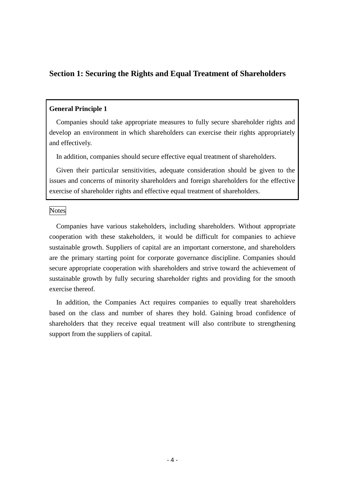## **Section 1: Securing the Rights and Equal Treatment of Shareholders**

#### **General Principle 1**

Companies should take appropriate measures to fully secure shareholder rights and develop an environment in which shareholders can exercise their rights appropriately and effectively.

In addition, companies should secure effective equal treatment of shareholders.

Given their particular sensitivities, adequate consideration should be given to the issues and concerns of minority shareholders and foreign shareholders for the effective exercise of shareholder rights and effective equal treatment of shareholders.

Notes

Companies have various stakeholders, including shareholders. Without appropriate cooperation with these stakeholders, it would be difficult for companies to achieve sustainable growth. Suppliers of capital are an important cornerstone, and shareholders are the primary starting point for corporate governance discipline. Companies should secure appropriate cooperation with shareholders and strive toward the achievement of sustainable growth by fully securing shareholder rights and providing for the smooth exercise thereof.

In addition, the Companies Act requires companies to equally treat shareholders based on the class and number of shares they hold. Gaining broad confidence of shareholders that they receive equal treatment will also contribute to strengthening support from the suppliers of capital.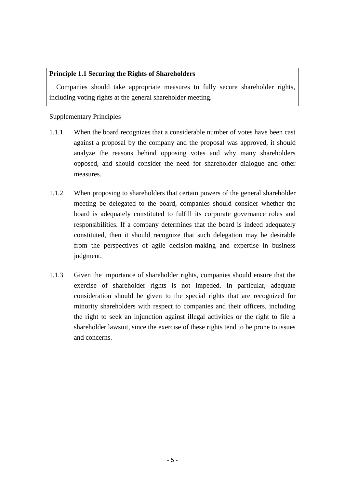#### **Principle 1.1 Securing the Rights of Shareholders**

Companies should take appropriate measures to fully secure shareholder rights, including voting rights at the general shareholder meeting.

Supplementary Principles

- 1.1.1 When the board recognizes that a considerable number of votes have been cast against a proposal by the company and the proposal was approved, it should analyze the reasons behind opposing votes and why many shareholders opposed, and should consider the need for shareholder dialogue and other measures.
- 1.1.2 When proposing to shareholders that certain powers of the general shareholder meeting be delegated to the board, companies should consider whether the board is adequately constituted to fulfill its corporate governance roles and responsibilities. If a company determines that the board is indeed adequately constituted, then it should recognize that such delegation may be desirable from the perspectives of agile decision-making and expertise in business judgment.
- 1.1.3 Given the importance of shareholder rights, companies should ensure that the exercise of shareholder rights is not impeded. In particular, adequate consideration should be given to the special rights that are recognized for minority shareholders with respect to companies and their officers, including the right to seek an injunction against illegal activities or the right to file a shareholder lawsuit, since the exercise of these rights tend to be prone to issues and concerns.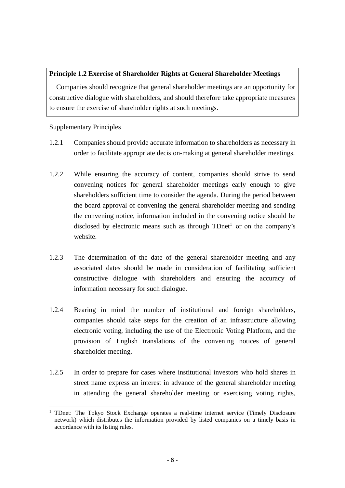#### **Principle 1.2 Exercise of Shareholder Rights at General Shareholder Meetings**

Companies should recognize that general shareholder meetings are an opportunity for constructive dialogue with shareholders, and should therefore take appropriate measures to ensure the exercise of shareholder rights at such meetings.

#### Supplementary Principles

 $\overline{a}$ 

- 1.2.1 Companies should provide accurate information to shareholders as necessary in order to facilitate appropriate decision-making at general shareholder meetings.
- 1.2.2 While ensuring the accuracy of content, companies should strive to send convening notices for general shareholder meetings early enough to give shareholders sufficient time to consider the agenda. During the period between the board approval of convening the general shareholder meeting and sending the convening notice, information included in the convening notice should be disclosed by electronic means such as through  $TDnet<sup>1</sup>$  or on the company's website.
- 1.2.3 The determination of the date of the general shareholder meeting and any associated dates should be made in consideration of facilitating sufficient constructive dialogue with shareholders and ensuring the accuracy of information necessary for such dialogue.
- 1.2.4 Bearing in mind the number of institutional and foreign shareholders, companies should take steps for the creation of an infrastructure allowing electronic voting, including the use of the Electronic Voting Platform, and the provision of English translations of the convening notices of general shareholder meeting.
- 1.2.5 In order to prepare for cases where institutional investors who hold shares in street name express an interest in advance of the general shareholder meeting in attending the general shareholder meeting or exercising voting rights,

<sup>&</sup>lt;sup>1</sup> TDnet: The Tokyo Stock Exchange operates a real-time internet service (Timely Disclosure network) which distributes the information provided by listed companies on a timely basis in accordance with its listing rules.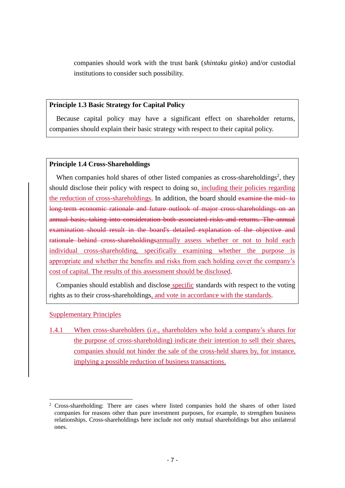companies should work with the trust bank (*shintaku ginko*) and/or custodial institutions to consider such possibility.

#### **Principle 1.3 Basic Strategy for Capital Policy**

Because capital policy may have a significant effect on shareholder returns, companies should explain their basic strategy with respect to their capital policy.

#### **Principle 1.4 Cross-Shareholdings**

When companies hold shares of other listed companies as cross-shareholdings<sup>2</sup>, they should disclose their policy with respect to doing so, including their policies regarding the reduction of cross-shareholdings. In addition, the board should examine the mid- to long-term economic rationale and future outlook of major cross-shareholdings on an annual basis, taking into consideration both associated risks and returns. The annual examination should result in the board's detailed explanation of the objective and rationale behind cross-shareholdingsannually assess whether or not to hold each individual cross-shareholding, specifically examining whether the purpose is appropriate and whether the benefits and risks from each holding cover the company's cost of capital. The results of this assessment should be disclosed.

Companies should establish and disclose specific standards with respect to the voting rights as to their cross-shareholdings, and vote in accordance with the standards.

#### Supplementary Principles

1

1.4.1 When cross-shareholders (i.e., shareholders who hold a company's shares for the purpose of cross-shareholding) indicate their intention to sell their shares, companies should not hinder the sale of the cross-held shares by, for instance, implying a possible reduction of business transactions.

<sup>2</sup> Cross-shareholding: There are cases where listed companies hold the shares of other listed companies for reasons other than pure investment purposes, for example, to strengthen business relationships. Cross-shareholdings here include not only mutual shareholdings but also unilateral ones.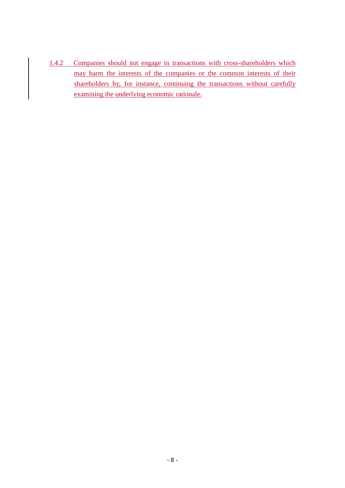1.4.2 Companies should not engage in transactions with cross-shareholders which may harm the interests of the companies or the common interests of their shareholders by, for instance, continuing the transactions without carefully examining the underlying economic rationale.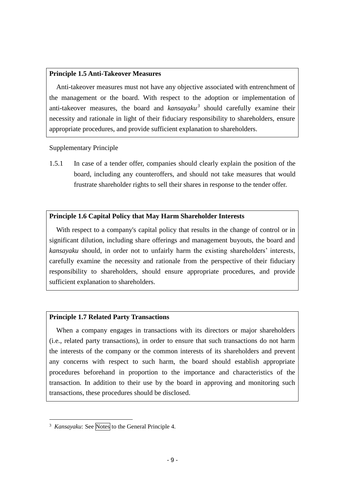#### **Principle 1.5 Anti-Takeover Measures**

Anti-takeover measures must not have any objective associated with entrenchment of the management or the board. With respect to the adoption or implementation of anti-takeover measures, the board and *kansayaku<sup>3</sup>* should carefully examine their necessity and rationale in light of their fiduciary responsibility to shareholders, ensure appropriate procedures, and provide sufficient explanation to shareholders.

Supplementary Principle

1.5.1 In case of a tender offer, companies should clearly explain the position of the board, including any counteroffers, and should not take measures that would frustrate shareholder rights to sell their shares in response to the tender offer.

#### **Principle 1.6 Capital Policy that May Harm Shareholder Interests**

With respect to a company's capital policy that results in the change of control or in significant dilution, including share offerings and management buyouts, the board and *kansayaku* should, in order not to unfairly harm the existing shareholders' interests, carefully examine the necessity and rationale from the perspective of their fiduciary responsibility to shareholders, should ensure appropriate procedures, and provide sufficient explanation to shareholders.

#### **Principle 1.7 Related Party Transactions**

When a company engages in transactions with its directors or major shareholders (i.e., related party transactions), in order to ensure that such transactions do not harm the interests of the company or the common interests of its shareholders and prevent any concerns with respect to such harm, the board should establish appropriate procedures beforehand in proportion to the importance and characteristics of the transaction. In addition to their use by the board in approving and monitoring such transactions, these procedures should be disclosed.

1

 $3$  *Kansayaku*: See Notes to the General Principle 4.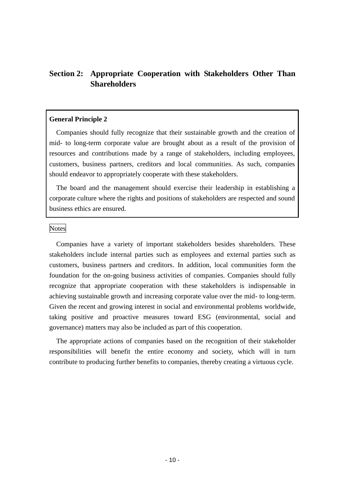## **Section 2: Appropriate Cooperation with Stakeholders Other Than Shareholders**

#### **General Principle 2**

Companies should fully recognize that their sustainable growth and the creation of mid- to long-term corporate value are brought about as a result of the provision of resources and contributions made by a range of stakeholders, including employees, customers, business partners, creditors and local communities. As such, companies should endeavor to appropriately cooperate with these stakeholders.

The board and the management should exercise their leadership in establishing a corporate culture where the rights and positions of stakeholders are respected and sound business ethics are ensured.

#### Notes

Companies have a variety of important stakeholders besides shareholders. These stakeholders include internal parties such as employees and external parties such as customers, business partners and creditors. In addition, local communities form the foundation for the on-going business activities of companies. Companies should fully recognize that appropriate cooperation with these stakeholders is indispensable in achieving sustainable growth and increasing corporate value over the mid- to long-term. Given the recent and growing interest in social and environmental problems worldwide, taking positive and proactive measures toward ESG (environmental, social and governance) matters may also be included as part of this cooperation.

The appropriate actions of companies based on the recognition of their stakeholder responsibilities will benefit the entire economy and society, which will in turn contribute to producing further benefits to companies, thereby creating a virtuous cycle.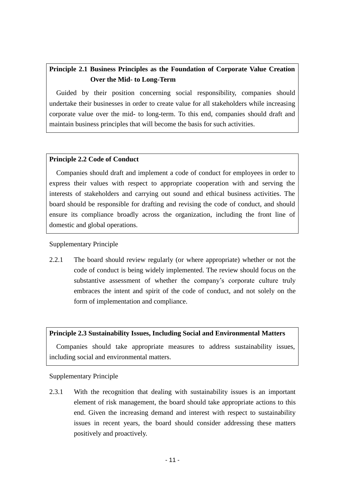## **Principle 2.1 Business Principles as the Foundation of Corporate Value Creation Over the Mid- to Long-Term**

Guided by their position concerning social responsibility, companies should undertake their businesses in order to create value for all stakeholders while increasing corporate value over the mid- to long-term. To this end, companies should draft and maintain business principles that will become the basis for such activities.

#### **Principle 2.2 Code of Conduct**

Companies should draft and implement a code of conduct for employees in order to express their values with respect to appropriate cooperation with and serving the interests of stakeholders and carrying out sound and ethical business activities. The board should be responsible for drafting and revising the code of conduct, and should ensure its compliance broadly across the organization, including the front line of domestic and global operations.

#### Supplementary Principle

2.2.1 The board should review regularly (or where appropriate) whether or not the code of conduct is being widely implemented. The review should focus on the substantive assessment of whether the company's corporate culture truly embraces the intent and spirit of the code of conduct, and not solely on the form of implementation and compliance.

#### **Principle 2.3 Sustainability Issues, Including Social and Environmental Matters**

Companies should take appropriate measures to address sustainability issues, including social and environmental matters.

#### Supplementary Principle

2.3.1 With the recognition that dealing with sustainability issues is an important element of risk management, the board should take appropriate actions to this end. Given the increasing demand and interest with respect to sustainability issues in recent years, the board should consider addressing these matters positively and proactively.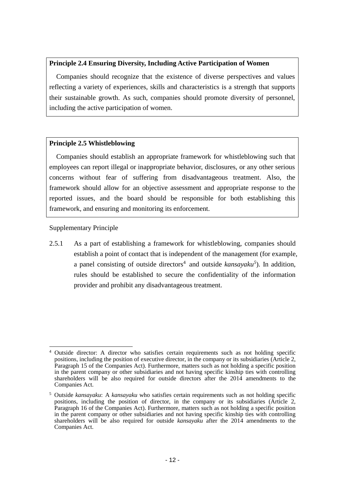#### **Principle 2.4 Ensuring Diversity, Including Active Participation of Women**

Companies should recognize that the existence of diverse perspectives and values reflecting a variety of experiences, skills and characteristics is a strength that supports their sustainable growth. As such, companies should promote diversity of personnel, including the active participation of women.

#### **Principle 2.5 Whistleblowing**

Companies should establish an appropriate framework for whistleblowing such that employees can report illegal or inappropriate behavior, disclosures, or any other serious concerns without fear of suffering from disadvantageous treatment. Also, the framework should allow for an objective assessment and appropriate response to the reported issues, and the board should be responsible for both establishing this framework, and ensuring and monitoring its enforcement.

Supplementary Principle

2.5.1 As a part of establishing a framework for whistleblowing, companies should establish a point of contact that is independent of the management (for example, a panel consisting of outside directors<sup>4</sup> and outside  $kansayaku^5$ ). In addition, rules should be established to secure the confidentiality of the information provider and prohibit any disadvantageous treatment.

<sup>1</sup> <sup>4</sup> Outside director: A director who satisfies certain requirements such as not holding specific positions, including the position of executive director, in the company or its subsidiaries (Article 2, Paragraph 15 of the Companies Act). Furthermore, matters such as not holding a specific position in the parent company or other subsidiaries and not having specific kinship ties with controlling shareholders will be also required for outside directors after the 2014 amendments to the Companies Act.

<sup>5</sup> Outside *kansayaku*: A *kansayaku* who satisfies certain requirements such as not holding specific positions, including the position of director, in the company or its subsidiaries (Article 2, Paragraph 16 of the Companies Act). Furthermore, matters such as not holding a specific position in the parent company or other subsidiaries and not having specific kinship ties with controlling shareholders will be also required for outside *kansayaku* after the 2014 amendments to the Companies Act.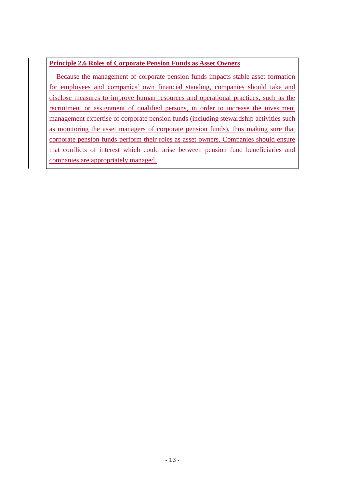#### **Principle 2.6 Roles of Corporate Pension Funds as Asset Owners**

Because the management of corporate pension funds impacts stable asset formation for employees and companies' own financial standing, companies should take and disclose measures to improve human resources and operational practices, such as the recruitment or assignment of qualified persons, in order to increase the investment management expertise of corporate pension funds (including stewardship activities such as monitoring the asset managers of corporate pension funds), thus making sure that corporate pension funds perform their roles as asset owners. Companies should ensure that conflicts of interest which could arise between pension fund beneficiaries and companies are appropriately managed.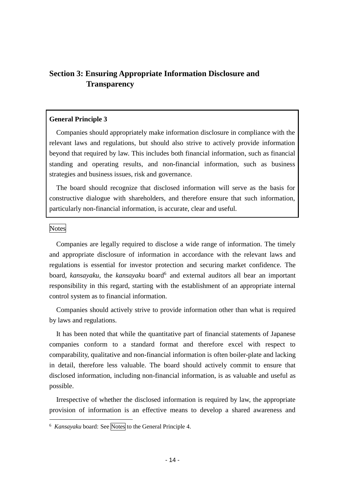## **Section 3: Ensuring Appropriate Information Disclosure and Transparency**

#### **General Principle 3**

Companies should appropriately make information disclosure in compliance with the relevant laws and regulations, but should also strive to actively provide information beyond that required by law. This includes both financial information, such as financial standing and operating results, and non-financial information, such as business strategies and business issues, risk and governance.

The board should recognize that disclosed information will serve as the basis for constructive dialogue with shareholders, and therefore ensure that such information, particularly non-financial information, is accurate, clear and useful.

Notes

1

Companies are legally required to disclose a wide range of information. The timely and appropriate disclosure of information in accordance with the relevant laws and regulations is essential for investor protection and securing market confidence. The board, *kansayaku*, the *kansayaku* board<sup>6</sup> and external auditors all bear an important responsibility in this regard, starting with the establishment of an appropriate internal control system as to financial information.

Companies should actively strive to provide information other than what is required by laws and regulations.

It has been noted that while the quantitative part of financial statements of Japanese companies conform to a standard format and therefore excel with respect to comparability, qualitative and non-financial information is often boiler-plate and lacking in detail, therefore less valuable. The board should actively commit to ensure that disclosed information, including non-financial information, is as valuable and useful as possible.

Irrespective of whether the disclosed information is required by law, the appropriate provision of information is an effective means to develop a shared awareness and

<sup>&</sup>lt;sup>6</sup> *Kansayaku* board: See Notes to the General Principle 4.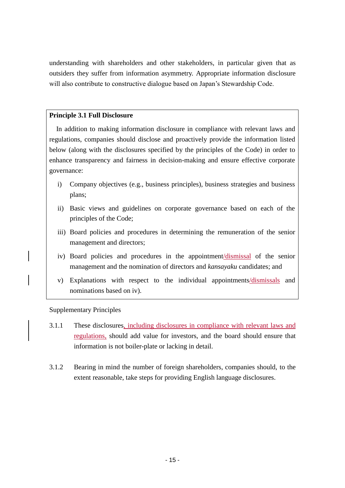understanding with shareholders and other stakeholders, in particular given that as outsiders they suffer from information asymmetry. Appropriate information disclosure will also contribute to constructive dialogue based on Japan's Stewardship Code.

#### **Principle 3.1 Full Disclosure**

In addition to making information disclosure in compliance with relevant laws and regulations, companies should disclose and proactively provide the information listed below (along with the disclosures specified by the principles of the Code) in order to enhance transparency and fairness in decision-making and ensure effective corporate governance:

- i) Company objectives (e.g., business principles), business strategies and business plans;
- ii) Basic views and guidelines on corporate governance based on each of the principles of the Code;
- iii) Board policies and procedures in determining the remuneration of the senior management and directors;
- iv) Board policies and procedures in the appointment/dismissal of the senior management and the nomination of directors and *kansayaku* candidates; and
- v) Explanations with respect to the individual appointments/dismissals and nominations based on iv).

Supplementary Principles

- 3.1.1 These disclosures, including disclosures in compliance with relevant laws and regulations, should add value for investors, and the board should ensure that information is not boiler-plate or lacking in detail.
- 3.1.2 Bearing in mind the number of foreign shareholders, companies should, to the extent reasonable, take steps for providing English language disclosures.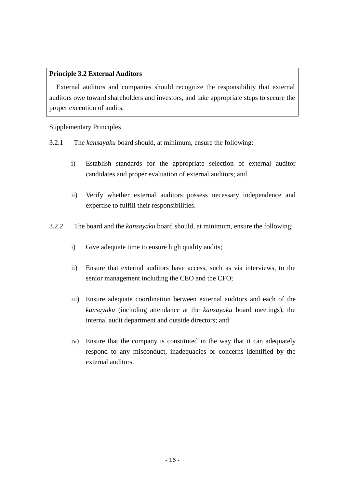#### **Principle 3.2 External Auditors**

External auditors and companies should recognize the responsibility that external auditors owe toward shareholders and investors, and take appropriate steps to secure the proper execution of audits.

#### Supplementary Principles

- 3.2.1 The *kansayaku* board should, at minimum, ensure the following:
	- i) Establish standards for the appropriate selection of external auditor candidates and proper evaluation of external auditors; and
	- ii) Verify whether external auditors possess necessary independence and expertise to fulfill their responsibilities.
- 3.2.2 The board and the *kansayaku* board should, at minimum, ensure the following:
	- i) Give adequate time to ensure high quality audits;
	- ii) Ensure that external auditors have access, such as via interviews, to the senior management including the CEO and the CFO;
	- iii) Ensure adequate coordination between external auditors and each of the *kansayaku* (including attendance at the *kansayaku* board meetings), the internal audit department and outside directors; and
	- iv) Ensure that the company is constituted in the way that it can adequately respond to any misconduct, inadequacies or concerns identified by the external auditors.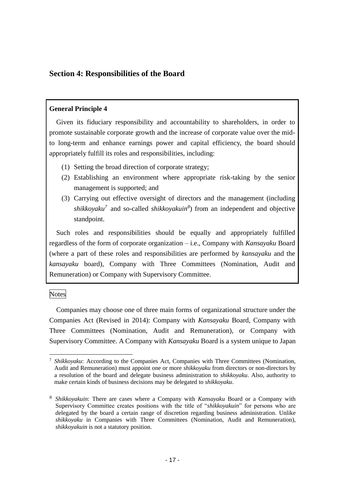### **Section 4: Responsibilities of the Board**

#### **General Principle 4**

Given its fiduciary responsibility and accountability to shareholders, in order to promote sustainable corporate growth and the increase of corporate value over the midto long-term and enhance earnings power and capital efficiency, the board should appropriately fulfill its roles and responsibilities, including:

- (1) Setting the broad direction of corporate strategy;
- (2) Establishing an environment where appropriate risk-taking by the senior management is supported; and
- (3) Carrying out effective oversight of directors and the management (including *shikkoyaku<sup>7</sup>* and so-called *shikkoyakuin<sup>8</sup>* ) from an independent and objective standpoint.

Such roles and responsibilities should be equally and appropriately fulfilled regardless of the form of corporate organization – i.e., Company with *Kansayaku* Board (where a part of these roles and responsibilities are performed by *kansayaku* and the *kansayaku* board), Company with Three Committees (Nomination, Audit and Remuneration) or Company with Supervisory Committee.

Notes

1

Companies may choose one of three main forms of organizational structure under the Companies Act (Revised in 2014): Company with *Kansayaku* Board, Company with Three Committees (Nomination, Audit and Remuneration), or Company with Supervisory Committee. A Company with *Kansayaku* Board is a system unique to Japan

<sup>7</sup> *Shikkoyaku*: According to the Companies Act, Companies with Three Committees (Nomination, Audit and Remuneration) must appoint one or more *shikkoyaku* from directors or non-directors by a resolution of the board and delegate business administration to *shikkoyaku*. Also, authority to make certain kinds of business decisions may be delegated to *shikkoyaku*.

<sup>8</sup> *Shikkoyakuin*: There are cases where a Company with *Kansayaku* Board or a Company with Supervisory Committee creates positions with the title of "*shikkoyakuin*" for persons who are delegated by the board a certain range of discretion regarding business administration. Unlike *shikkoyaku* in Companies with Three Committees (Nomination, Audit and Remuneration), *shikkoyakuin* is not a statutory position.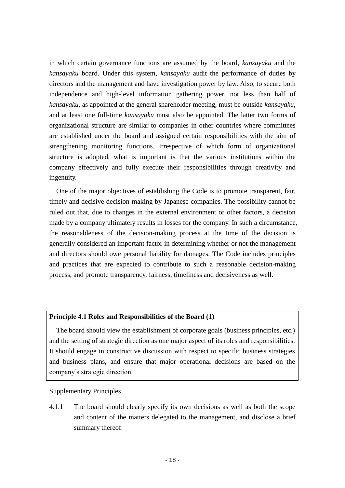in which certain governance functions are assumed by the board, *kansayaku* and the *kansayaku* board. Under this system, *kansayaku* audit the performance of duties by directors and the management and have investigation power by law. Also, to secure both independence and high-level information gathering power, not less than half of *kansayaku,* as appointed at the general shareholder meeting, must be outside *kansayaku*, and at least one full-time *kansayaku* must also be appointed. The latter two forms of organizational structure are similar to companies in other countries where committees are established under the board and assigned certain responsibilities with the aim of strengthening monitoring functions. Irrespective of which form of organizational structure is adopted, what is important is that the various institutions within the company effectively and fully execute their responsibilities through creativity and ingenuity.

One of the major objectives of establishing the Code is to promote transparent, fair, timely and decisive decision-making by Japanese companies. The possibility cannot be ruled out that, due to changes in the external environment or other factors, a decision made by a company ultimately results in losses for the company. In such a circumstance, the reasonableness of the decision-making process at the time of the decision is generally considered an important factor in determining whether or not the management and directors should owe personal liability for damages. The Code includes principles and practices that are expected to contribute to such a reasonable decision-making process, and promote transparency, fairness, timeliness and decisiveness as well.

#### **Principle 4.1 Roles and Responsibilities of the Board (1)**

The board should view the establishment of corporate goals (business principles, etc.) and the setting of strategic direction as one major aspect of its roles and responsibilities. It should engage in constructive discussion with respect to specific business strategies and business plans, and ensure that major operational decisions are based on the company's strategic direction.

#### Supplementary Principles

4.1.1 The board should clearly specify its own decisions as well as both the scope and content of the matters delegated to the management, and disclose a brief summary thereof.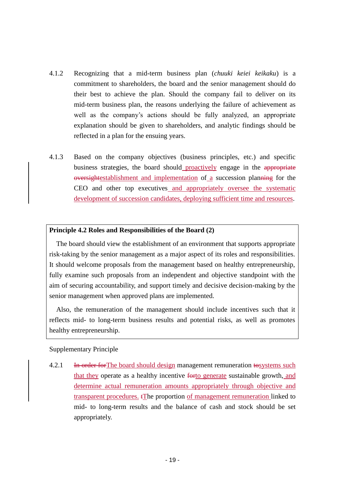- 4.1.2 Recognizing that a mid-term business plan (*chuuki keiei keikaku*) is a commitment to shareholders, the board and the senior management should do their best to achieve the plan. Should the company fail to deliver on its mid-term business plan, the reasons underlying the failure of achievement as well as the company's actions should be fully analyzed, an appropriate explanation should be given to shareholders, and analytic findings should be reflected in a plan for the ensuing years.
- 4.1.3 Based on the company objectives (business principles, etc.) and specific business strategies, the board should proactively engage in the appropriate oversightestablishment and implementation of a succession planning for the CEO and other top executives and appropriately oversee the systematic development of succession candidates, deploying sufficient time and resources.

#### **Principle 4.2 Roles and Responsibilities of the Board (2)**

The board should view the establishment of an environment that supports appropriate risk-taking by the senior management as a major aspect of its roles and responsibilities. It should welcome proposals from the management based on healthy entrepreneurship, fully examine such proposals from an independent and objective standpoint with the aim of securing accountability, and support timely and decisive decision-making by the senior management when approved plans are implemented.

Also, the remuneration of the management should include incentives such that it reflects mid- to long-term business results and potential risks, as well as promotes healthy entrepreneurship.

#### Supplementary Principle

4.2.1 In order for The board should design management remuneration to systems such that they operate as a healthy incentive forto generate sustainable growth, and determine actual remuneration amounts appropriately through objective and transparent procedures. tThe proportion of management remuneration linked to mid- to long-term results and the balance of cash and stock should be set appropriately.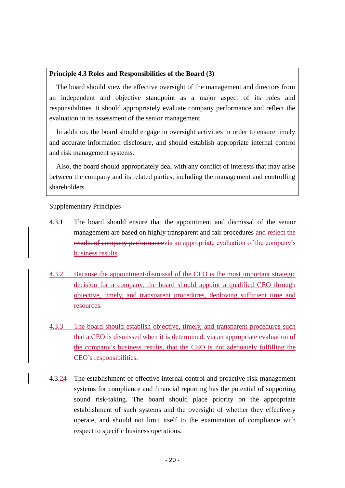#### **Principle 4.3 Roles and Responsibilities of the Board (3)**

The board should view the effective oversight of the management and directors from an independent and objective standpoint as a major aspect of its roles and responsibilities. It should appropriately evaluate company performance and reflect the evaluation in its assessment of the senior management.

In addition, the board should engage in oversight activities in order to ensure timely and accurate information disclosure, and should establish appropriate internal control and risk management systems.

Also, the board should appropriately deal with any conflict of interests that may arise between the company and its related parties, including the management and controlling shareholders.

Supplementary Principles

- 4.3.1 The board should ensure that the appointment and dismissal of the senior management are based on highly transparent and fair procedures and reflect the results of company performancevia an appropriate evaluation of the company's business results.
- 4.3.2 Because the appointment/dismissal of the CEO is the most important strategic decision for a company, the board should appoint a qualified CEO through objective, timely, and transparent procedures, deploying sufficient time and resources.
- 4.3.3 The board should establish objective, timely, and transparent procedures such that a CEO is dismissed when it is determined, via an appropriate evaluation of the company's business results, that the CEO is not adequately fulfilling the CEO's responsibilities.
- 4.3.24 The establishment of effective internal control and proactive risk management systems for compliance and financial reporting has the potential of supporting sound risk-taking. The board should place priority on the appropriate establishment of such systems and the oversight of whether they effectively operate, and should not limit itself to the examination of compliance with respect to specific business operations.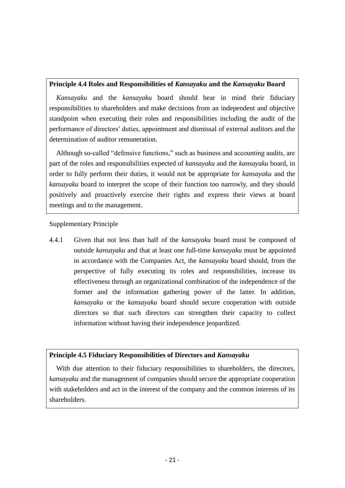#### **Principle 4.4 Roles and Responsibilities of** *Kansayaku* **and the** *Kansayaku* **Board**

*Kansayaku* and the *kansayaku* board should bear in mind their fiduciary responsibilities to shareholders and make decisions from an independent and objective standpoint when executing their roles and responsibilities including the audit of the performance of directors' duties, appointment and dismissal of external auditors and the determination of auditor remuneration.

Although so-called "defensive functions," such as business and accounting audits, are part of the roles and responsibilities expected of *kansayaku* and the *kansayaku* board, in order to fully perform their duties, it would not be appropriate for *kansayaku* and the *kansayaku* board to interpret the scope of their function too narrowly, and they should positively and proactively exercise their rights and express their views at board meetings and to the management.

Supplementary Principle

4.4.1 Given that not less than half of the *kansayaku* board must be composed of outside *kansayaku* and that at least one full-time *kansayaku* must be appointed in accordance with the Companies Act, the *kansayaku* board should, from the perspective of fully executing its roles and responsibilities, increase its effectiveness through an organizational combination of the independence of the former and the information gathering power of the latter. In addition, *kansayaku* or the *kansayaku* board should secure cooperation with outside directors so that such directors can strengthen their capacity to collect information without having their independence jeopardized.

#### **Principle 4.5 Fiduciary Responsibilities of Directors and** *Kansayaku*

With due attention to their fiduciary responsibilities to shareholders, the directors, *kansayaku* and the management of companies should secure the appropriate cooperation with stakeholders and act in the interest of the company and the common interests of its shareholders.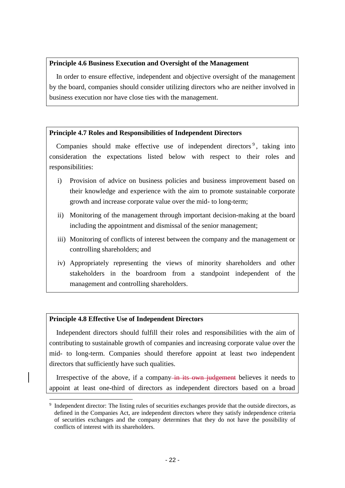#### **Principle 4.6 Business Execution and Oversight of the Management**

In order to ensure effective, independent and objective oversight of the management by the board, companies should consider utilizing directors who are neither involved in business execution nor have close ties with the management.

#### **Principle 4.7 Roles and Responsibilities of Independent Directors**

Companies should make effective use of independent directors<sup>9</sup>, taking into consideration the expectations listed below with respect to their roles and responsibilities:

- i) Provision of advice on business policies and business improvement based on their knowledge and experience with the aim to promote sustainable corporate growth and increase corporate value over the mid- to long-term;
- ii) Monitoring of the management through important decision-making at the board including the appointment and dismissal of the senior management;
- iii) Monitoring of conflicts of interest between the company and the management or controlling shareholders; and
- iv) Appropriately representing the views of minority shareholders and other stakeholders in the boardroom from a standpoint independent of the management and controlling shareholders.

#### **Principle 4.8 Effective Use of Independent Directors**

1

Independent directors should fulfill their roles and responsibilities with the aim of contributing to sustainable growth of companies and increasing corporate value over the mid- to long-term. Companies should therefore appoint at least two independent directors that sufficiently have such qualities.

Irrespective of the above, if a company in its own judgement believes it needs to appoint at least one-third of directors as independent directors based on a broad

<sup>&</sup>lt;sup>9</sup> Independent director: The listing rules of securities exchanges provide that the outside directors, as defined in the Companies Act, are independent directors where they satisfy independence criteria of securities exchanges and the company determines that they do not have the possibility of conflicts of interest with its shareholders.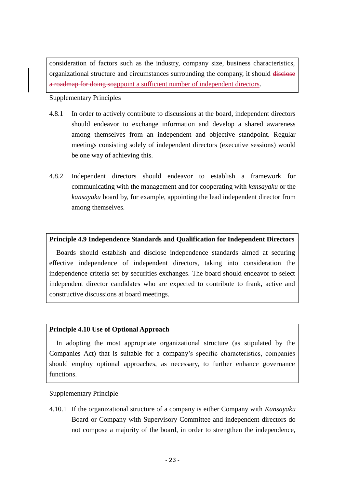consideration of factors such as the industry, company size, business characteristics, organizational structure and circumstances surrounding the company, it should disclose a roadmap for doing soappoint a sufficient number of independent directors.

#### Supplementary Principles

- 4.8.1 In order to actively contribute to discussions at the board, independent directors should endeavor to exchange information and develop a shared awareness among themselves from an independent and objective standpoint. Regular meetings consisting solely of independent directors (executive sessions) would be one way of achieving this.
- 4.8.2 Independent directors should endeavor to establish a framework for communicating with the management and for cooperating with *kansayaku* or the *kansayaku* board by, for example, appointing the lead independent director from among themselves.

#### **Principle 4.9 Independence Standards and Qualification for Independent Directors**

Boards should establish and disclose independence standards aimed at securing effective independence of independent directors, taking into consideration the independence criteria set by securities exchanges. The board should endeavor to select independent director candidates who are expected to contribute to frank, active and constructive discussions at board meetings.

#### **Principle 4.10 Use of Optional Approach**

In adopting the most appropriate organizational structure (as stipulated by the Companies Act) that is suitable for a company's specific characteristics, companies should employ optional approaches, as necessary, to further enhance governance functions.

#### Supplementary Principle

4.10.1 If the organizational structure of a company is either Company with *Kansayaku* Board or Company with Supervisory Committee and independent directors do not compose a majority of the board, in order to strengthen the independence,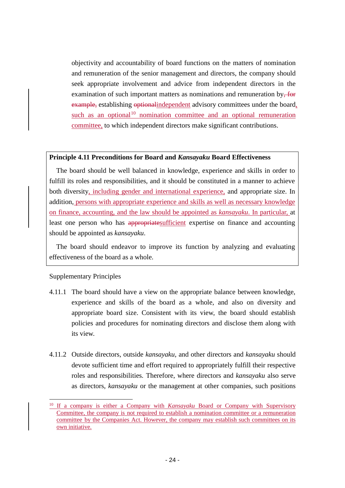objectivity and accountability of board functions on the matters of nomination and remuneration of the senior management and directors, the company should seek appropriate involvement and advice from independent directors in the examination of such important matters as nominations and remuneration by, for example, establishing optionalindependent advisory committees under the board, such as an optional<sup>10</sup> nomination committee and an optional remuneration committee, to which independent directors make significant contributions.

#### **Principle 4.11 Preconditions for Board and** *Kansayaku* **Board Effectiveness**

The board should be well balanced in knowledge, experience and skills in order to fulfill its roles and responsibilities, and it should be constituted in a manner to achieve both diversity, including gender and international experience, and appropriate size. In addition, persons with appropriate experience and skills as well as necessary knowledge on finance, accounting, and the law should be appointed as *kansayaku*. In particular, at least one person who has appropriates ufficient expertise on finance and accounting should be appointed as *kansayaku*.

The board should endeavor to improve its function by analyzing and evaluating effectiveness of the board as a whole.

#### Supplementary Principles

1

- 4.11.1 The board should have a view on the appropriate balance between knowledge, experience and skills of the board as a whole, and also on diversity and appropriate board size. Consistent with its view, the board should establish policies and procedures for nominating directors and disclose them along with its view.
- 4.11.2 Outside directors, outside *kansayaku*, and other directors and *kansayaku* should devote sufficient time and effort required to appropriately fulfill their respective roles and responsibilities*.* Therefore, where directors and *kansayaku* also serve as directors, *kansayaku* or the management at other companies, such positions

<sup>10</sup> If a company is either a Company with *Kansayaku* Board or Company with Supervisory Committee, the company is not required to establish a nomination committee or a remuneration committee by the Companies Act. However, the company may establish such committees on its own initiative.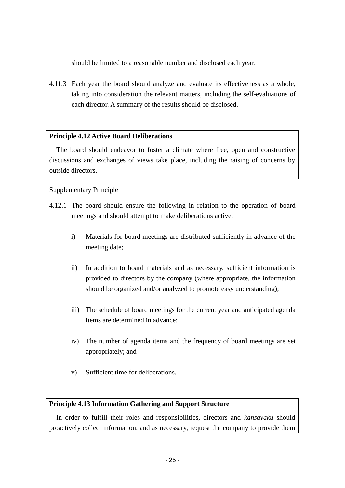should be limited to a reasonable number and disclosed each year.

4.11.3 Each year the board should analyze and evaluate its effectiveness as a whole, taking into consideration the relevant matters, including the self-evaluations of each director. A summary of the results should be disclosed.

#### **Principle 4.12 Active Board Deliberations**

The board should endeavor to foster a climate where free, open and constructive discussions and exchanges of views take place, including the raising of concerns by outside directors.

#### Supplementary Principle

- 4.12.1 The board should ensure the following in relation to the operation of board meetings and should attempt to make deliberations active:
	- i) Materials for board meetings are distributed sufficiently in advance of the meeting date;
	- ii) In addition to board materials and as necessary, sufficient information is provided to directors by the company (where appropriate, the information should be organized and/or analyzed to promote easy understanding);
	- iii) The schedule of board meetings for the current year and anticipated agenda items are determined in advance;
	- iv) The number of agenda items and the frequency of board meetings are set appropriately; and
	- v) Sufficient time for deliberations.

#### **Principle 4.13 Information Gathering and Support Structure**

In order to fulfill their roles and responsibilities, directors and *kansayaku* should proactively collect information, and as necessary, request the company to provide them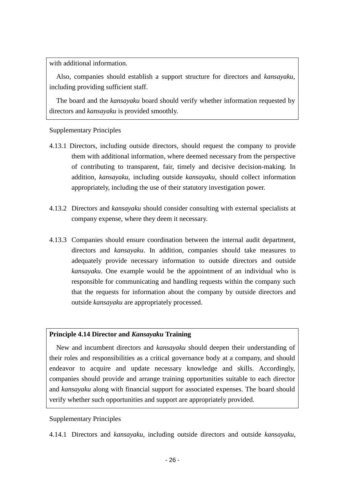with additional information.

Also, companies should establish a support structure for directors and *kansayaku,* including providing sufficient staff.

The board and the *kansayaku* board should verify whether information requested by directors and *kansayaku* is provided smoothly.

#### Supplementary Principles

- 4.13.1 Directors, including outside directors, should request the company to provide them with additional information, where deemed necessary from the perspective of contributing to transparent, fair, timely and decisive decision-making. In addition, *kansayaku,* including outside *kansayaku,* should collect information appropriately, including the use of their statutory investigation power.
- 4.13.2 Directors and *kansayaku* should consider consulting with external specialists at company expense, where they deem it necessary.
- 4.13.3 Companies should ensure coordination between the internal audit department, directors and *kansayaku*. In addition, companies should take measures to adequately provide necessary information to outside directors and outside *kansayaku*. One example would be the appointment of an individual who is responsible for communicating and handling requests within the company such that the requests for information about the company by outside directors and outside *kansayaku* are appropriately processed.

#### **Principle 4.14 Director and** *Kansayaku* **Training**

New and incumbent directors and *kansayaku* should deepen their understanding of their roles and responsibilities as a critical governance body at a company, and should endeavor to acquire and update necessary knowledge and skills. Accordingly, companies should provide and arrange training opportunities suitable to each director and *kansayaku* along with financial support for associated expenses. The board should verify whether such opportunities and support are appropriately provided.

#### Supplementary Principles

4.14.1 Directors and *kansayaku*, including outside directors and outside *kansayaku*,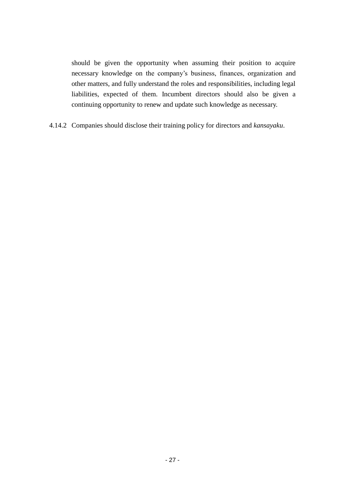should be given the opportunity when assuming their position to acquire necessary knowledge on the company's business, finances, organization and other matters, and fully understand the roles and responsibilities, including legal liabilities, expected of them. Incumbent directors should also be given a continuing opportunity to renew and update such knowledge as necessary.

4.14.2 Companies should disclose their training policy for directors and *kansayaku*.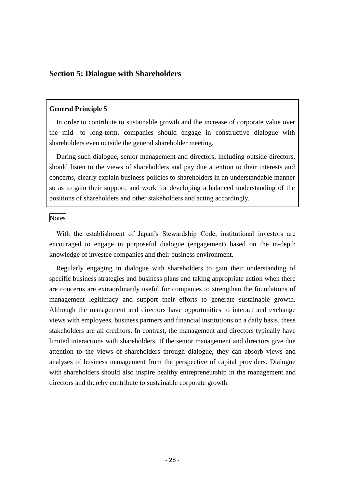#### **Section 5: Dialogue with Shareholders**

#### **General Principle 5**

In order to contribute to sustainable growth and the increase of corporate value over the mid- to long-term, companies should engage in constructive dialogue with shareholders even outside the general shareholder meeting.

During such dialogue, senior management and directors, including outside directors, should listen to the views of shareholders and pay due attention to their interests and concerns, clearly explain business policies to shareholders in an understandable manner so as to gain their support, and work for developing a balanced understanding of the positions of shareholders and other stakeholders and acting accordingly.

#### Notes

With the establishment of Japan's Stewardship Code, institutional investors are encouraged to engage in purposeful dialogue (engagement) based on the in-depth knowledge of investee companies and their business environment.

Regularly engaging in dialogue with shareholders to gain their understanding of specific business strategies and business plans and taking appropriate action when there are concerns are extraordinarily useful for companies to strengthen the foundations of management legitimacy and support their efforts to generate sustainable growth. Although the management and directors have opportunities to interact and exchange views with employees, business partners and financial institutions on a daily basis, these stakeholders are all creditors. In contrast, the management and directors typically have limited interactions with shareholders. If the senior management and directors give due attention to the views of shareholders through dialogue, they can absorb views and analyses of business management from the perspective of capital providers. Dialogue with shareholders should also inspire healthy entrepreneurship in the management and directors and thereby contribute to sustainable corporate growth.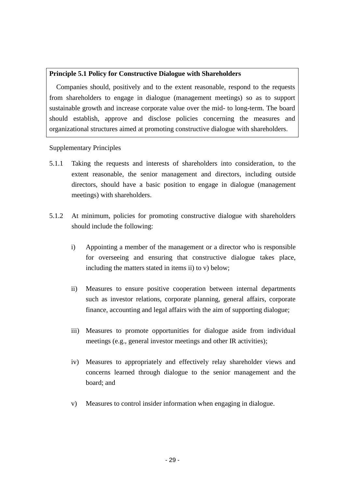#### **Principle 5.1 Policy for Constructive Dialogue with Shareholders**

Companies should, positively and to the extent reasonable, respond to the requests from shareholders to engage in dialogue (management meetings) so as to support sustainable growth and increase corporate value over the mid- to long-term. The board should establish, approve and disclose policies concerning the measures and organizational structures aimed at promoting constructive dialogue with shareholders.

Supplementary Principles

- 5.1.1 Taking the requests and interests of shareholders into consideration, to the extent reasonable, the senior management and directors, including outside directors, should have a basic position to engage in dialogue (management meetings) with shareholders.
- 5.1.2 At minimum, policies for promoting constructive dialogue with shareholders should include the following:
	- i) Appointing a member of the management or a director who is responsible for overseeing and ensuring that constructive dialogue takes place, including the matters stated in items ii) to v) below;
	- ii) Measures to ensure positive cooperation between internal departments such as investor relations, corporate planning, general affairs, corporate finance, accounting and legal affairs with the aim of supporting dialogue;
	- iii) Measures to promote opportunities for dialogue aside from individual meetings (e.g., general investor meetings and other IR activities);
	- iv) Measures to appropriately and effectively relay shareholder views and concerns learned through dialogue to the senior management and the board; and
	- v) Measures to control insider information when engaging in dialogue.